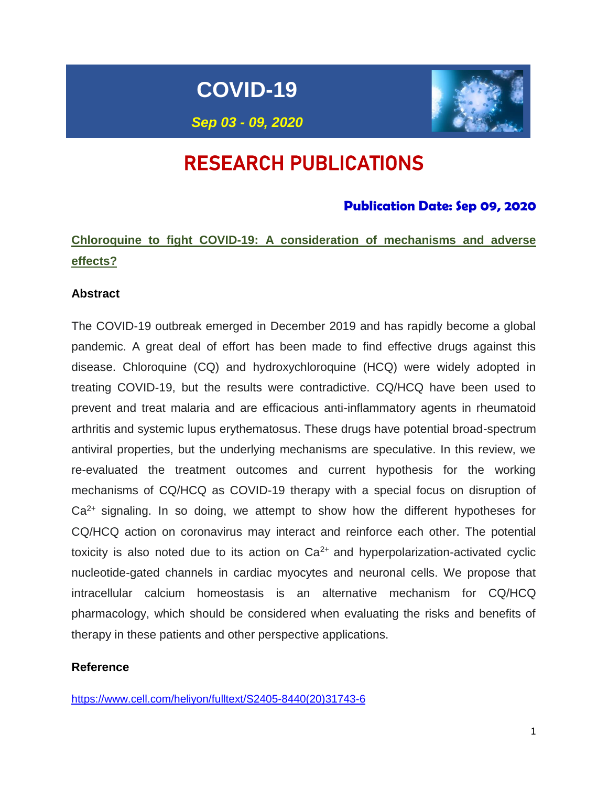# **COVID-19**



*Sep 03 - 09, 2020*

# RESEARCH PUBLICATIONS

# **Publication Date: Sep 09, 2020**

# **Chloroquine to fight COVID-19: A consideration of mechanisms and adverse effects?**

# **Abstract**

The COVID-19 outbreak emerged in December 2019 and has rapidly become a global pandemic. A great deal of effort has been made to find effective drugs against this disease. Chloroquine (CQ) and hydroxychloroquine (HCQ) were widely adopted in treating COVID-19, but the results were contradictive. CQ/HCQ have been used to prevent and treat malaria and are efficacious anti-inflammatory agents in rheumatoid arthritis and systemic lupus erythematosus. These drugs have potential broad-spectrum antiviral properties, but the underlying mechanisms are speculative. In this review, we re-evaluated the treatment outcomes and current hypothesis for the working mechanisms of CQ/HCQ as COVID-19 therapy with a special focus on disruption of  $Ca<sup>2+</sup>$  signaling. In so doing, we attempt to show how the different hypotheses for CQ/HCQ action on coronavirus may interact and reinforce each other. The potential toxicity is also noted due to its action on  $Ca<sup>2+</sup>$  and hyperpolarization-activated cyclic nucleotide-gated channels in cardiac myocytes and neuronal cells. We propose that intracellular calcium homeostasis is an alternative mechanism for CQ/HCQ pharmacology, which should be considered when evaluating the risks and benefits of therapy in these patients and other perspective applications.

# **Reference**

[https://www.cell.com/heliyon/fulltext/S2405-8440\(20\)31743-6](https://www.cell.com/heliyon/fulltext/S2405-8440(20)31743-6)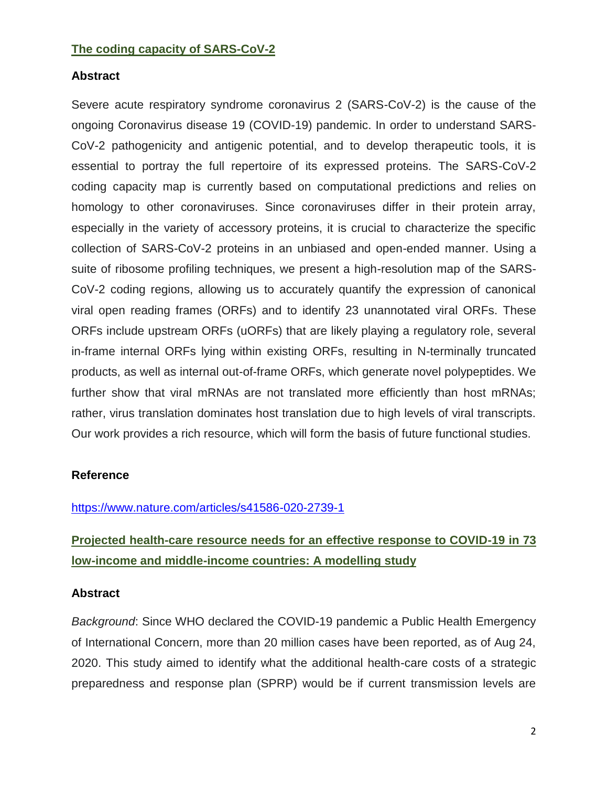### **The coding capacity of SARS-CoV-2**

### **Abstract**

Severe acute respiratory syndrome coronavirus 2 (SARS-CoV-2) is the cause of the ongoing Coronavirus disease 19 (COVID-19) pandemic. In order to understand SARS-CoV-2 pathogenicity and antigenic potential, and to develop therapeutic tools, it is essential to portray the full repertoire of its expressed proteins. The SARS-CoV-2 coding capacity map is currently based on computational predictions and relies on homology to other coronaviruses. Since coronaviruses differ in their protein array, especially in the variety of accessory proteins, it is crucial to characterize the specific collection of SARS-CoV-2 proteins in an unbiased and open-ended manner. Using a suite of ribosome profiling techniques, we present a high-resolution map of the SARS-CoV-2 coding regions, allowing us to accurately quantify the expression of canonical viral open reading frames (ORFs) and to identify 23 unannotated viral ORFs. These ORFs include upstream ORFs (uORFs) that are likely playing a regulatory role, several in-frame internal ORFs lying within existing ORFs, resulting in N-terminally truncated products, as well as internal out-of-frame ORFs, which generate novel polypeptides. We further show that viral mRNAs are not translated more efficiently than host mRNAs; rather, virus translation dominates host translation due to high levels of viral transcripts. Our work provides a rich resource, which will form the basis of future functional studies.

# **Reference**

# <https://www.nature.com/articles/s41586-020-2739-1>

# **Projected health-care resource needs for an effective response to COVID-19 in 73 low-income and middle-income countries: A modelling study**

#### **Abstract**

*Background*: Since WHO declared the COVID-19 pandemic a Public Health Emergency of International Concern, more than 20 million cases have been reported, as of Aug 24, 2020. This study aimed to identify what the additional health-care costs of a strategic preparedness and response plan (SPRP) would be if current transmission levels are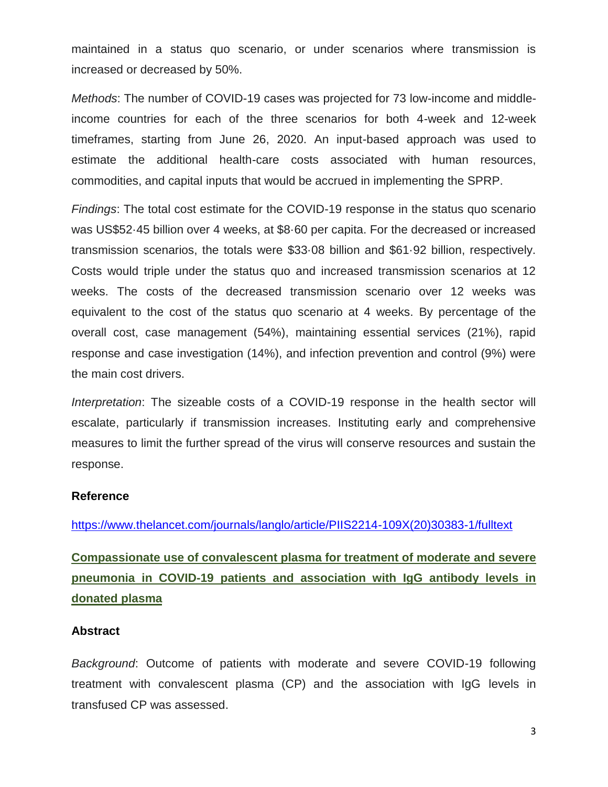maintained in a status quo scenario, or under scenarios where transmission is increased or decreased by 50%.

*Methods*: The number of COVID-19 cases was projected for 73 low-income and middleincome countries for each of the three scenarios for both 4-week and 12-week timeframes, starting from June 26, 2020. An input-based approach was used to estimate the additional health-care costs associated with human resources, commodities, and capital inputs that would be accrued in implementing the SPRP.

*Findings*: The total cost estimate for the COVID-19 response in the status quo scenario was US\$52·45 billion over 4 weeks, at \$8·60 per capita. For the decreased or increased transmission scenarios, the totals were \$33·08 billion and \$61·92 billion, respectively. Costs would triple under the status quo and increased transmission scenarios at 12 weeks. The costs of the decreased transmission scenario over 12 weeks was equivalent to the cost of the status quo scenario at 4 weeks. By percentage of the overall cost, case management (54%), maintaining essential services (21%), rapid response and case investigation (14%), and infection prevention and control (9%) were the main cost drivers.

*Interpretation*: The sizeable costs of a COVID-19 response in the health sector will escalate, particularly if transmission increases. Instituting early and comprehensive measures to limit the further spread of the virus will conserve resources and sustain the response.

#### **Reference**

[https://www.thelancet.com/journals/langlo/article/PIIS2214-109X\(20\)30383-1/fulltext](https://www.thelancet.com/journals/langlo/article/PIIS2214-109X(20)30383-1/fulltext)

# **Compassionate use of convalescent plasma for treatment of moderate and severe pneumonia in COVID-19 patients and association with IgG antibody levels in donated plasma**

#### **Abstract**

*Background*: Outcome of patients with moderate and severe COVID-19 following treatment with convalescent plasma (CP) and the association with IgG levels in transfused CP was assessed.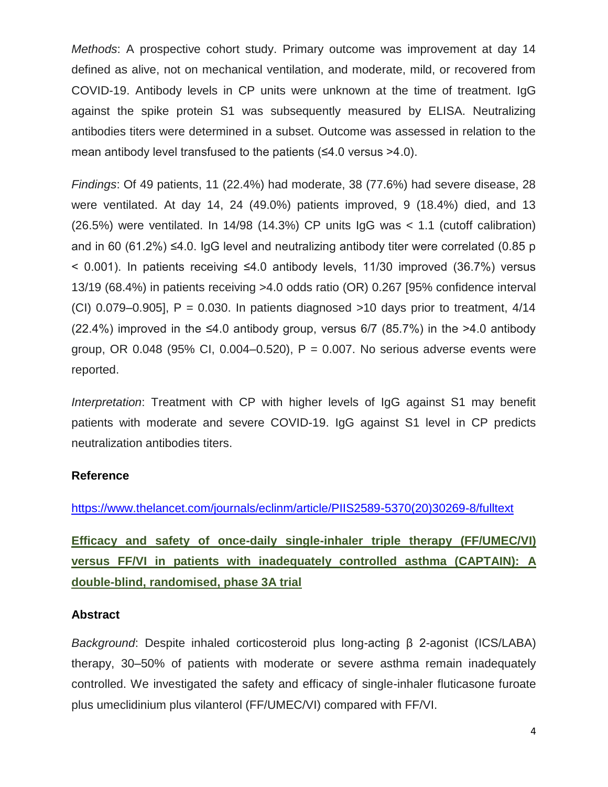*Methods*: A prospective cohort study. Primary outcome was improvement at day 14 defined as alive, not on mechanical ventilation, and moderate, mild, or recovered from COVID-19. Antibody levels in CP units were unknown at the time of treatment. IgG against the spike protein S1 was subsequently measured by ELISA. Neutralizing antibodies titers were determined in a subset. Outcome was assessed in relation to the mean antibody level transfused to the patients (≤4.0 versus >4.0).

*Findings*: Of 49 patients, 11 (22.4%) had moderate, 38 (77.6%) had severe disease, 28 were ventilated. At day 14, 24 (49.0%) patients improved, 9 (18.4%) died, and 13 (26.5%) were ventilated. In 14/98 (14.3%) CP units IgG was < 1.1 (cutoff calibration) and in 60 (61.2%)  $\leq$ 4.0. IgG level and neutralizing antibody titer were correlated (0.85 p < 0.001). In patients receiving ≤4.0 antibody levels, 11/30 improved (36.7%) versus 13/19 (68.4%) in patients receiving >4.0 odds ratio (OR) 0.267 [95% confidence interval (CI) 0.079–0.905],  $P = 0.030$ . In patients diagnosed  $>10$  days prior to treatment,  $4/14$ (22.4%) improved in the  $\leq 4.0$  antibody group, versus 6/7 (85.7%) in the  $>4.0$  antibody group, OR 0.048 (95% CI, 0.004–0.520),  $P = 0.007$ . No serious adverse events were reported.

*Interpretation*: Treatment with CP with higher levels of IgG against S1 may benefit patients with moderate and severe COVID-19. IgG against S1 level in CP predicts neutralization antibodies titers.

#### **Reference**

[https://www.thelancet.com/journals/eclinm/article/PIIS2589-5370\(20\)30269-8/fulltext](https://www.thelancet.com/journals/eclinm/article/PIIS2589-5370(20)30269-8/fulltext)

**Efficacy and safety of once-daily single-inhaler triple therapy (FF/UMEC/VI) versus FF/VI in patients with inadequately controlled asthma (CAPTAIN): A double-blind, randomised, phase 3A trial**

#### **Abstract**

*Background*: Despite inhaled corticosteroid plus long-acting β 2-agonist (ICS/LABA) therapy, 30–50% of patients with moderate or severe asthma remain inadequately controlled. We investigated the safety and efficacy of single-inhaler fluticasone furoate plus umeclidinium plus vilanterol (FF/UMEC/VI) compared with FF/VI.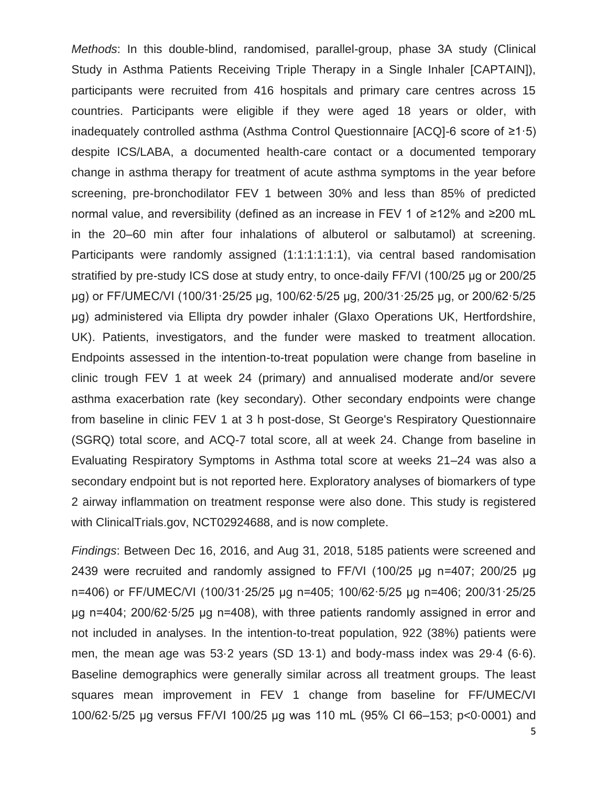*Methods*: In this double-blind, randomised, parallel-group, phase 3A study (Clinical Study in Asthma Patients Receiving Triple Therapy in a Single Inhaler [CAPTAIN]), participants were recruited from 416 hospitals and primary care centres across 15 countries. Participants were eligible if they were aged 18 years or older, with inadequately controlled asthma (Asthma Control Questionnaire [ACQ]-6 score of ≥1·5) despite ICS/LABA, a documented health-care contact or a documented temporary change in asthma therapy for treatment of acute asthma symptoms in the year before screening, pre-bronchodilator FEV 1 between 30% and less than 85% of predicted normal value, and reversibility (defined as an increase in FEV 1 of ≥12% and ≥200 mL in the 20–60 min after four inhalations of albuterol or salbutamol) at screening. Participants were randomly assigned (1:1:1:1:1:1), via central based randomisation stratified by pre-study ICS dose at study entry, to once-daily FF/VI (100/25 μg or 200/25 μg) or FF/UMEC/VI (100/31·25/25 μg, 100/62·5/25 μg, 200/31·25/25 μg, or 200/62·5/25 μg) administered via Ellipta dry powder inhaler (Glaxo Operations UK, Hertfordshire, UK). Patients, investigators, and the funder were masked to treatment allocation. Endpoints assessed in the intention-to-treat population were change from baseline in clinic trough FEV 1 at week 24 (primary) and annualised moderate and/or severe asthma exacerbation rate (key secondary). Other secondary endpoints were change from baseline in clinic FEV 1 at 3 h post-dose, St George's Respiratory Questionnaire (SGRQ) total score, and ACQ-7 total score, all at week 24. Change from baseline in Evaluating Respiratory Symptoms in Asthma total score at weeks 21–24 was also a secondary endpoint but is not reported here. Exploratory analyses of biomarkers of type 2 airway inflammation on treatment response were also done. This study is registered with ClinicalTrials.gov, NCT02924688, and is now complete.

*Findings*: Between Dec 16, 2016, and Aug 31, 2018, 5185 patients were screened and 2439 were recruited and randomly assigned to FF/VI (100/25 μg n=407; 200/25 μg n=406) or FF/UMEC/VI (100/31·25/25 μg n=405; 100/62·5/25 μg n=406; 200/31·25/25 μg n=404; 200/62·5/25 μg n=408), with three patients randomly assigned in error and not included in analyses. In the intention-to-treat population, 922 (38%) patients were men, the mean age was 53·2 years (SD 13·1) and body-mass index was 29·4 (6·6). Baseline demographics were generally similar across all treatment groups. The least squares mean improvement in FEV 1 change from baseline for FF/UMEC/VI 100/62·5/25 μg versus FF/VI 100/25 μg was 110 mL (95% CI 66–153; p<0·0001) and

5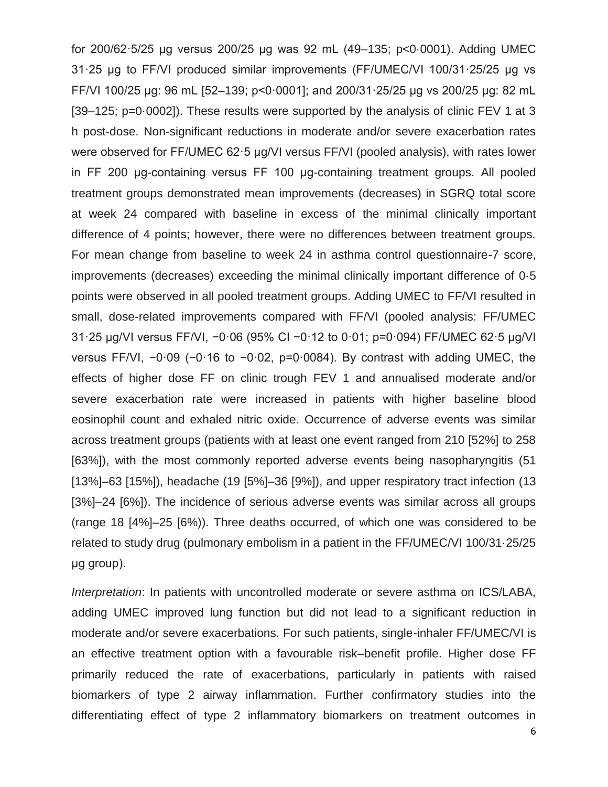for 200/62·5/25 μg versus 200/25 μg was 92 mL (49–135; p<0·0001). Adding UMEC 31·25 μg to FF/VI produced similar improvements (FF/UMEC/VI 100/31·25/25 μg vs FF/VI 100/25 μg: 96 mL [52–139; p<0·0001]; and 200/31·25/25 μg vs 200/25 μg: 82 mL [39–125; p=0·0002]). These results were supported by the analysis of clinic FEV 1 at 3 h post-dose. Non-significant reductions in moderate and/or severe exacerbation rates were observed for FF/UMEC 62·5 μg/VI versus FF/VI (pooled analysis), with rates lower in FF 200 μg-containing versus FF 100 μg-containing treatment groups. All pooled treatment groups demonstrated mean improvements (decreases) in SGRQ total score at week 24 compared with baseline in excess of the minimal clinically important difference of 4 points; however, there were no differences between treatment groups. For mean change from baseline to week 24 in asthma control questionnaire-7 score, improvements (decreases) exceeding the minimal clinically important difference of 0·5 points were observed in all pooled treatment groups. Adding UMEC to FF/VI resulted in small, dose-related improvements compared with FF/VI (pooled analysis: FF/UMEC 31·25 μg/VI versus FF/VI, −0·06 (95% CI −0·12 to 0·01; p=0·094) FF/UMEC 62·5 μg/VI versus FF/VI, −0·09 (−0·16 to −0·02, p=0·0084). By contrast with adding UMEC, the effects of higher dose FF on clinic trough FEV 1 and annualised moderate and/or severe exacerbation rate were increased in patients with higher baseline blood eosinophil count and exhaled nitric oxide. Occurrence of adverse events was similar across treatment groups (patients with at least one event ranged from 210 [52%] to 258 [63%]), with the most commonly reported adverse events being nasopharyngitis (51 [13%]–63 [15%]), headache (19 [5%]–36 [9%]), and upper respiratory tract infection (13 [3%]–24 [6%]). The incidence of serious adverse events was similar across all groups (range 18 [4%]–25 [6%)). Three deaths occurred, of which one was considered to be related to study drug (pulmonary embolism in a patient in the FF/UMEC/VI 100/31·25/25 μg group).

*Interpretation*: In patients with uncontrolled moderate or severe asthma on ICS/LABA, adding UMEC improved lung function but did not lead to a significant reduction in moderate and/or severe exacerbations. For such patients, single-inhaler FF/UMEC/VI is an effective treatment option with a favourable risk–benefit profile. Higher dose FF primarily reduced the rate of exacerbations, particularly in patients with raised biomarkers of type 2 airway inflammation. Further confirmatory studies into the differentiating effect of type 2 inflammatory biomarkers on treatment outcomes in

6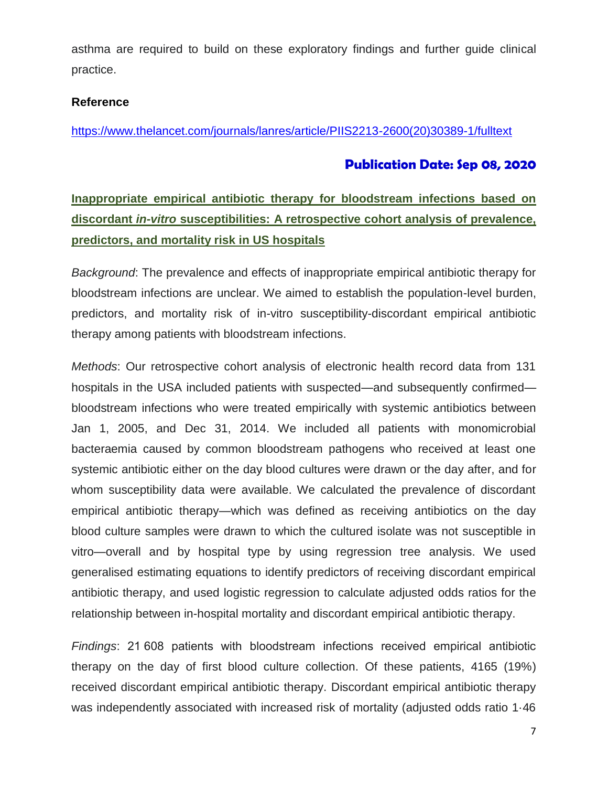asthma are required to build on these exploratory findings and further guide clinical practice.

### **Reference**

[https://www.thelancet.com/journals/lanres/article/PIIS2213-2600\(20\)30389-1/fulltext](https://www.thelancet.com/journals/lanres/article/PIIS2213-2600(20)30389-1/fulltext)

# **Publication Date: Sep 08, 2020**

# **Inappropriate empirical antibiotic therapy for bloodstream infections based on discordant** *in-vitro* **susceptibilities: A retrospective cohort analysis of prevalence, predictors, and mortality risk in US hospitals**

*Background*: The prevalence and effects of inappropriate empirical antibiotic therapy for bloodstream infections are unclear. We aimed to establish the population-level burden, predictors, and mortality risk of in-vitro susceptibility-discordant empirical antibiotic therapy among patients with bloodstream infections.

*Methods*: Our retrospective cohort analysis of electronic health record data from 131 hospitals in the USA included patients with suspected—and subsequently confirmed bloodstream infections who were treated empirically with systemic antibiotics between Jan 1, 2005, and Dec 31, 2014. We included all patients with monomicrobial bacteraemia caused by common bloodstream pathogens who received at least one systemic antibiotic either on the day blood cultures were drawn or the day after, and for whom susceptibility data were available. We calculated the prevalence of discordant empirical antibiotic therapy—which was defined as receiving antibiotics on the day blood culture samples were drawn to which the cultured isolate was not susceptible in vitro—overall and by hospital type by using regression tree analysis. We used generalised estimating equations to identify predictors of receiving discordant empirical antibiotic therapy, and used logistic regression to calculate adjusted odds ratios for the relationship between in-hospital mortality and discordant empirical antibiotic therapy.

*Findings*: 21 608 patients with bloodstream infections received empirical antibiotic therapy on the day of first blood culture collection. Of these patients, 4165 (19%) received discordant empirical antibiotic therapy. Discordant empirical antibiotic therapy was independently associated with increased risk of mortality (adjusted odds ratio 1.46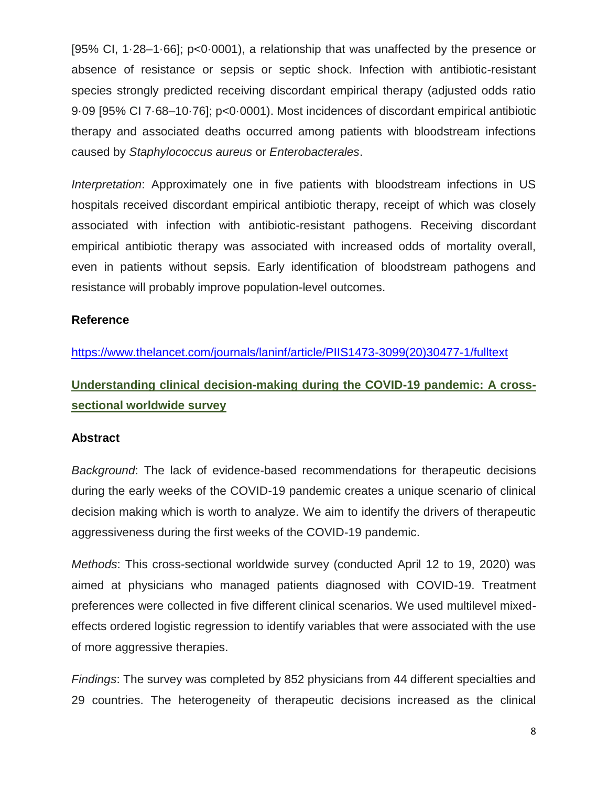[95% CI, 1·28–1·66]; p<0·0001), a relationship that was unaffected by the presence or absence of resistance or sepsis or septic shock. Infection with antibiotic-resistant species strongly predicted receiving discordant empirical therapy (adjusted odds ratio 9·09 [95% CI 7·68–10·76]; p<0·0001). Most incidences of discordant empirical antibiotic therapy and associated deaths occurred among patients with bloodstream infections caused by *Staphylococcus aureus* or *Enterobacterales*.

*Interpretation*: Approximately one in five patients with bloodstream infections in US hospitals received discordant empirical antibiotic therapy, receipt of which was closely associated with infection with antibiotic-resistant pathogens. Receiving discordant empirical antibiotic therapy was associated with increased odds of mortality overall, even in patients without sepsis. Early identification of bloodstream pathogens and resistance will probably improve population-level outcomes.

# **Reference**

[https://www.thelancet.com/journals/laninf/article/PIIS1473-3099\(20\)30477-1/fulltext](https://www.thelancet.com/journals/laninf/article/PIIS1473-3099(20)30477-1/fulltext)

**Understanding clinical decision-making during the COVID-19 pandemic: A crosssectional worldwide survey**

# **Abstract**

*Background*: The lack of evidence-based recommendations for therapeutic decisions during the early weeks of the COVID-19 pandemic creates a unique scenario of clinical decision making which is worth to analyze. We aim to identify the drivers of therapeutic aggressiveness during the first weeks of the COVID-19 pandemic.

*Methods*: This cross-sectional worldwide survey (conducted April 12 to 19, 2020) was aimed at physicians who managed patients diagnosed with COVID-19. Treatment preferences were collected in five different clinical scenarios. We used multilevel mixedeffects ordered logistic regression to identify variables that were associated with the use of more aggressive therapies.

*Findings*: The survey was completed by 852 physicians from 44 different specialties and 29 countries. The heterogeneity of therapeutic decisions increased as the clinical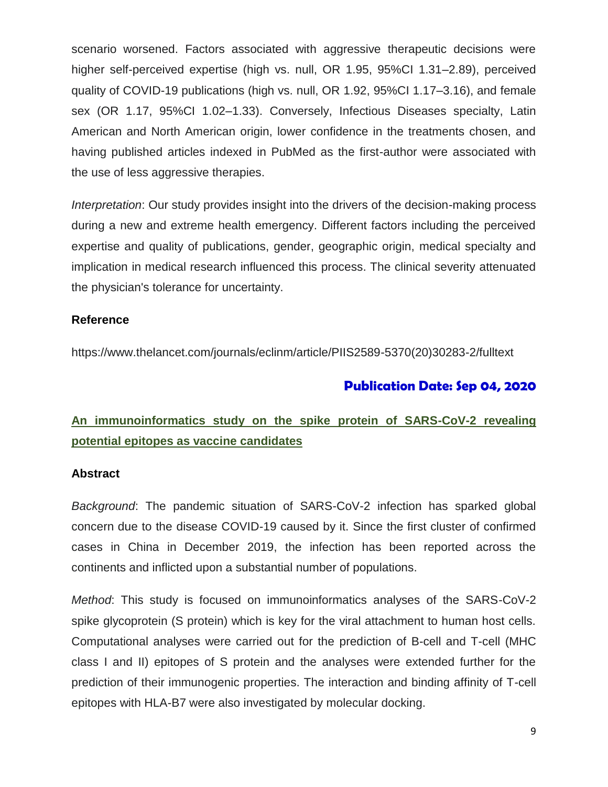scenario worsened. Factors associated with aggressive therapeutic decisions were higher self-perceived expertise (high vs. null, OR 1.95, 95%CI 1.31–2.89), perceived quality of COVID-19 publications (high vs. null, OR 1.92, 95%CI 1.17–3.16), and female sex (OR 1.17, 95%CI 1.02–1.33). Conversely, Infectious Diseases specialty, Latin American and North American origin, lower confidence in the treatments chosen, and having published articles indexed in PubMed as the first-author were associated with the use of less aggressive therapies.

*Interpretation*: Our study provides insight into the drivers of the decision-making process during a new and extreme health emergency. Different factors including the perceived expertise and quality of publications, gender, geographic origin, medical specialty and implication in medical research influenced this process. The clinical severity attenuated the physician's tolerance for uncertainty.

# **Reference**

https://www.thelancet.com/journals/eclinm/article/PIIS2589-5370(20)30283-2/fulltext

# **Publication Date: Sep 04, 2020**

# **An immunoinformatics study on the spike protein of SARS-CoV-2 revealing potential epitopes as vaccine candidates**

# **Abstract**

*Background*: The pandemic situation of SARS-CoV-2 infection has sparked global concern due to the disease COVID-19 caused by it. Since the first cluster of confirmed cases in China in December 2019, the infection has been reported across the continents and inflicted upon a substantial number of populations.

*Method*: This study is focused on immunoinformatics analyses of the SARS-CoV-2 spike glycoprotein (S protein) which is key for the viral attachment to human host cells. Computational analyses were carried out for the prediction of B-cell and T-cell (MHC class I and II) epitopes of S protein and the analyses were extended further for the prediction of their immunogenic properties. The interaction and binding affinity of T-cell epitopes with HLA-B7 were also investigated by molecular docking.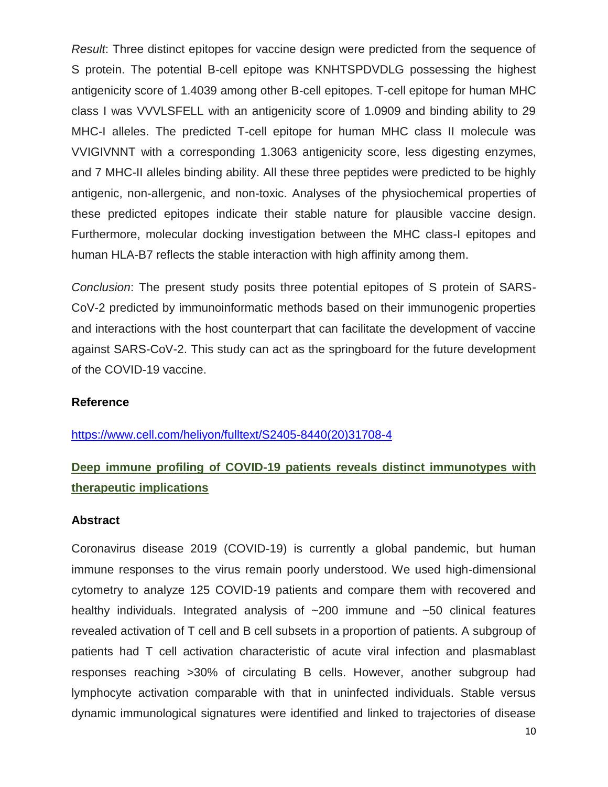*Result*: Three distinct epitopes for vaccine design were predicted from the sequence of S protein. The potential B-cell epitope was KNHTSPDVDLG possessing the highest antigenicity score of 1.4039 among other B-cell epitopes. T-cell epitope for human MHC class I was VVVLSFELL with an antigenicity score of 1.0909 and binding ability to 29 MHC-I alleles. The predicted T-cell epitope for human MHC class II molecule was VVIGIVNNT with a corresponding 1.3063 antigenicity score, less digesting enzymes, and 7 MHC-II alleles binding ability. All these three peptides were predicted to be highly antigenic, non-allergenic, and non-toxic. Analyses of the physiochemical properties of these predicted epitopes indicate their stable nature for plausible vaccine design. Furthermore, molecular docking investigation between the MHC class-I epitopes and human HLA-B7 reflects the stable interaction with high affinity among them.

*Conclusion*: The present study posits three potential epitopes of S protein of SARS-CoV-2 predicted by immunoinformatic methods based on their immunogenic properties and interactions with the host counterpart that can facilitate the development of vaccine against SARS-CoV-2. This study can act as the springboard for the future development of the COVID-19 vaccine.

#### **Reference**

#### [https://www.cell.com/heliyon/fulltext/S2405-8440\(20\)31708-4](https://www.cell.com/heliyon/fulltext/S2405-8440(20)31708-4)

# **Deep immune profiling of COVID-19 patients reveals distinct immunotypes with therapeutic implications**

#### **Abstract**

Coronavirus disease 2019 (COVID-19) is currently a global pandemic, but human immune responses to the virus remain poorly understood. We used high-dimensional cytometry to analyze 125 COVID-19 patients and compare them with recovered and healthy individuals. Integrated analysis of  $\sim$ 200 immune and  $\sim$ 50 clinical features revealed activation of T cell and B cell subsets in a proportion of patients. A subgroup of patients had T cell activation characteristic of acute viral infection and plasmablast responses reaching >30% of circulating B cells. However, another subgroup had lymphocyte activation comparable with that in uninfected individuals. Stable versus dynamic immunological signatures were identified and linked to trajectories of disease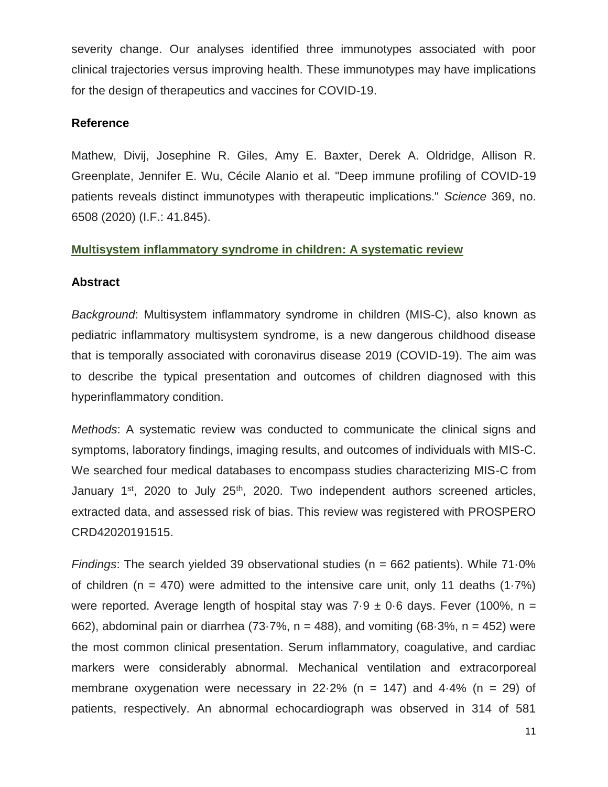severity change. Our analyses identified three immunotypes associated with poor clinical trajectories versus improving health. These immunotypes may have implications for the design of therapeutics and vaccines for COVID-19.

# **Reference**

Mathew, Divij, Josephine R. Giles, Amy E. Baxter, Derek A. Oldridge, Allison R. Greenplate, Jennifer E. Wu, Cécile Alanio et al. "Deep immune profiling of COVID-19 patients reveals distinct immunotypes with therapeutic implications." *Science* 369, no. 6508 (2020) (I.F.: 41.845).

# **Multisystem inflammatory syndrome in children: A systematic review**

# **Abstract**

*Background*: Multisystem inflammatory syndrome in children (MIS-C), also known as pediatric inflammatory multisystem syndrome, is a new dangerous childhood disease that is temporally associated with coronavirus disease 2019 (COVID-19). The aim was to describe the typical presentation and outcomes of children diagnosed with this hyperinflammatory condition.

*Methods*: A systematic review was conducted to communicate the clinical signs and symptoms, laboratory findings, imaging results, and outcomes of individuals with MIS-C. We searched four medical databases to encompass studies characterizing MIS-C from January  $1<sup>st</sup>$ , 2020 to July 25<sup>th</sup>, 2020. Two independent authors screened articles, extracted data, and assessed risk of bias. This review was registered with PROSPERO CRD42020191515.

*Findings*: The search yielded 39 observational studies (n = 662 patients). While 71.0% of children (n = 470) were admitted to the intensive care unit, only 11 deaths  $(1.7%)$ were reported. Average length of hospital stay was  $7.9 \pm 0.6$  days. Fever (100%, n = 662), abdominal pain or diarrhea (73 $-7\%$ , n = 488), and vomiting (68 $-3\%$ , n = 452) were the most common clinical presentation. Serum inflammatory, coagulative, and cardiac markers were considerably abnormal. Mechanical ventilation and extracorporeal membrane oxygenation were necessary in 22 $-2\%$  (n = 147) and 4 $-4\%$  (n = 29) of patients, respectively. An abnormal echocardiograph was observed in 314 of 581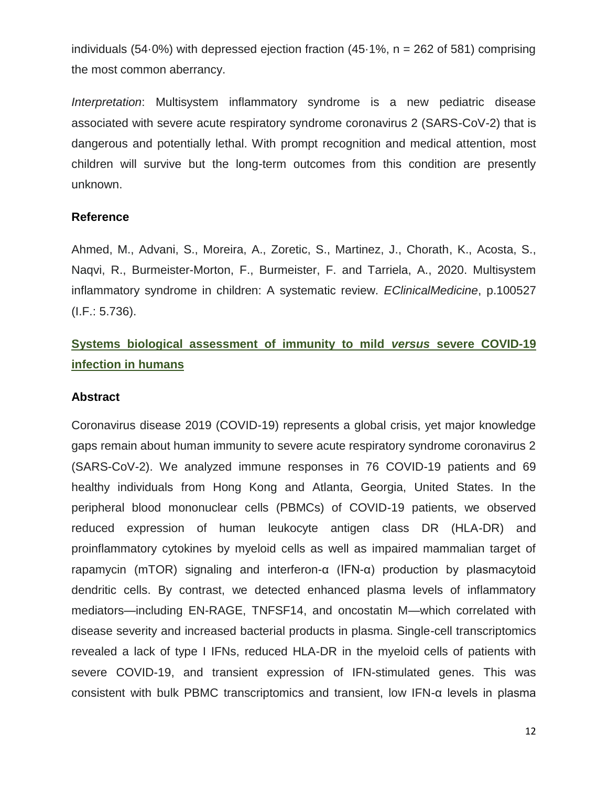individuals (54 $\cdot$ 0%) with depressed ejection fraction (45 $\cdot$ 1%, n = 262 of 581) comprising the most common aberrancy.

*Interpretation*: Multisystem inflammatory syndrome is a new pediatric disease associated with severe acute respiratory syndrome coronavirus 2 (SARS-CoV-2) that is dangerous and potentially lethal. With prompt recognition and medical attention, most children will survive but the long-term outcomes from this condition are presently unknown.

# **Reference**

Ahmed, M., Advani, S., Moreira, A., Zoretic, S., Martinez, J., Chorath, K., Acosta, S., Naqvi, R., Burmeister-Morton, F., Burmeister, F. and Tarriela, A., 2020. Multisystem inflammatory syndrome in children: A systematic review. *EClinicalMedicine*, p.100527 (I.F.: 5.736).

# **Systems biological assessment of immunity to mild** *versus* **severe COVID-19 infection in humans**

# **Abstract**

Coronavirus disease 2019 (COVID-19) represents a global crisis, yet major knowledge gaps remain about human immunity to severe acute respiratory syndrome coronavirus 2 (SARS-CoV-2). We analyzed immune responses in 76 COVID-19 patients and 69 healthy individuals from Hong Kong and Atlanta, Georgia, United States. In the peripheral blood mononuclear cells (PBMCs) of COVID-19 patients, we observed reduced expression of human leukocyte antigen class DR (HLA-DR) and proinflammatory cytokines by myeloid cells as well as impaired mammalian target of rapamycin (mTOR) signaling and interferon-α (IFN-α) production by plasmacytoid dendritic cells. By contrast, we detected enhanced plasma levels of inflammatory mediators—including EN-RAGE, TNFSF14, and oncostatin M—which correlated with disease severity and increased bacterial products in plasma. Single-cell transcriptomics revealed a lack of type I IFNs, reduced HLA-DR in the myeloid cells of patients with severe COVID-19, and transient expression of IFN-stimulated genes. This was consistent with bulk PBMC transcriptomics and transient, low IFN-α levels in plasma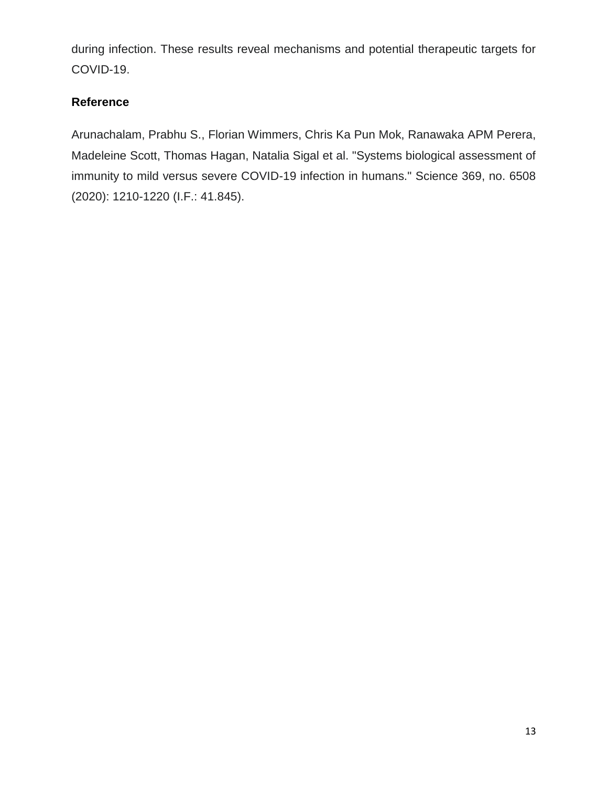during infection. These results reveal mechanisms and potential therapeutic targets for COVID-19.

# **Reference**

Arunachalam, Prabhu S., Florian Wimmers, Chris Ka Pun Mok, Ranawaka APM Perera, Madeleine Scott, Thomas Hagan, Natalia Sigal et al. "Systems biological assessment of immunity to mild versus severe COVID-19 infection in humans." Science 369, no. 6508 (2020): 1210-1220 (I.F.: 41.845).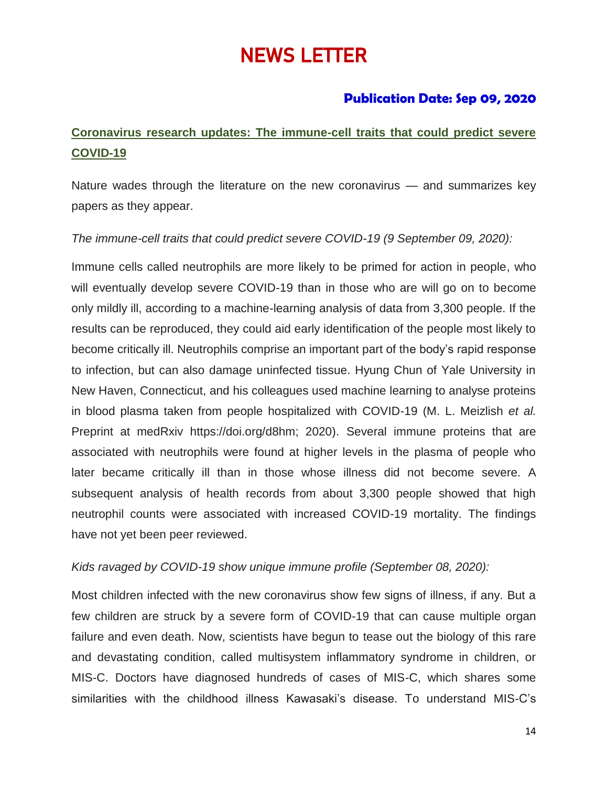# NEWS LETTER

# **Publication Date: Sep 09, 2020**

# **Coronavirus research updates: The immune-cell traits that could predict severe COVID-19**

Nature wades through the literature on the new coronavirus — and summarizes key papers as they appear.

# *The immune-cell traits that could predict severe COVID-19 (9 September 09, 2020):*

Immune cells called neutrophils are more likely to be primed for action in people, who will eventually develop severe COVID-19 than in those who are will go on to become only mildly ill, according to a machine-learning analysis of data from 3,300 people. If the results can be reproduced, they could aid early identification of the people most likely to become critically ill. Neutrophils comprise an important part of the body's rapid response to infection, but can also damage uninfected tissue. Hyung Chun of Yale University in New Haven, Connecticut, and his colleagues used machine learning to analyse proteins in blood plasma taken from people hospitalized with COVID-19 (M. L. Meizlish *et al.* Preprint at medRxiv https://doi.org/d8hm; 2020). Several immune proteins that are associated with neutrophils were found at higher levels in the plasma of people who later became critically ill than in those whose illness did not become severe. A subsequent analysis of health records from about 3,300 people showed that high neutrophil counts were associated with increased COVID-19 mortality. The findings have not yet been peer reviewed.

# *Kids ravaged by COVID-19 show unique immune profile (September 08, 2020):*

Most children infected with the new coronavirus show few signs of illness, if any. But a few children are struck by a severe form of COVID-19 that can cause multiple organ failure and even death. Now, scientists have begun to tease out the biology of this rare and devastating condition, called multisystem inflammatory syndrome in children, or MIS-C. Doctors have diagnosed hundreds of cases of MIS-C, which shares some similarities with the childhood illness Kawasaki's disease. To understand MIS-C's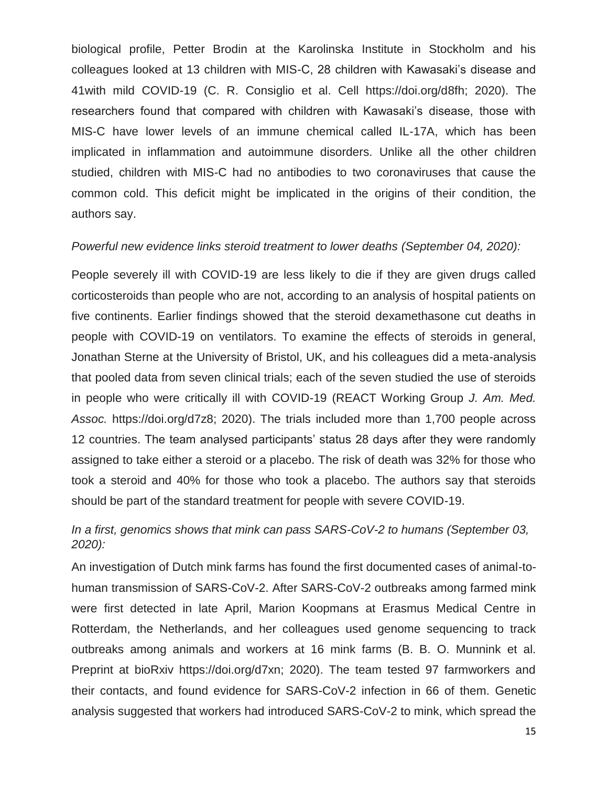biological profile, Petter Brodin at the Karolinska Institute in Stockholm and his colleagues looked at 13 children with MIS-C, 28 children with Kawasaki's disease and 41with mild COVID-19 (C. R. Consiglio et al. Cell https://doi.org/d8fh; 2020). The researchers found that compared with children with Kawasaki's disease, those with MIS-C have lower levels of an immune chemical called IL-17A, which has been implicated in inflammation and autoimmune disorders. Unlike all the other children studied, children with MIS-C had no antibodies to two coronaviruses that cause the common cold. This deficit might be implicated in the origins of their condition, the authors say.

#### *Powerful new evidence links steroid treatment to lower deaths (September 04, 2020):*

People severely ill with COVID-19 are less likely to die if they are given drugs called corticosteroids than people who are not, according to an analysis of hospital patients on five continents. Earlier findings showed that the steroid dexamethasone cut deaths in people with COVID-19 on ventilators. To examine the effects of steroids in general, Jonathan Sterne at the University of Bristol, UK, and his colleagues did a meta-analysis that pooled data from seven clinical trials; each of the seven studied the use of steroids in people who were critically ill with COVID-19 (REACT Working Group *J. Am. Med. Assoc.* https://doi.org/d7z8; 2020). The trials included more than 1,700 people across 12 countries. The team analysed participants' status 28 days after they were randomly assigned to take either a steroid or a placebo. The risk of death was 32% for those who took a steroid and 40% for those who took a placebo. The authors say that steroids should be part of the standard treatment for people with severe COVID-19.

# *In a first, genomics shows that mink can pass SARS-CoV-2 to humans (September 03, 2020):*

An investigation of Dutch mink farms has found the first documented cases of animal-tohuman transmission of SARS-CoV-2. After SARS-CoV-2 outbreaks among farmed mink were first detected in late April, Marion Koopmans at Erasmus Medical Centre in Rotterdam, the Netherlands, and her colleagues used genome sequencing to track outbreaks among animals and workers at 16 mink farms (B. B. O. Munnink et al. Preprint at bioRxiv https://doi.org/d7xn; 2020). The team tested 97 farmworkers and their contacts, and found evidence for SARS-CoV-2 infection in 66 of them. Genetic analysis suggested that workers had introduced SARS-CoV-2 to mink, which spread the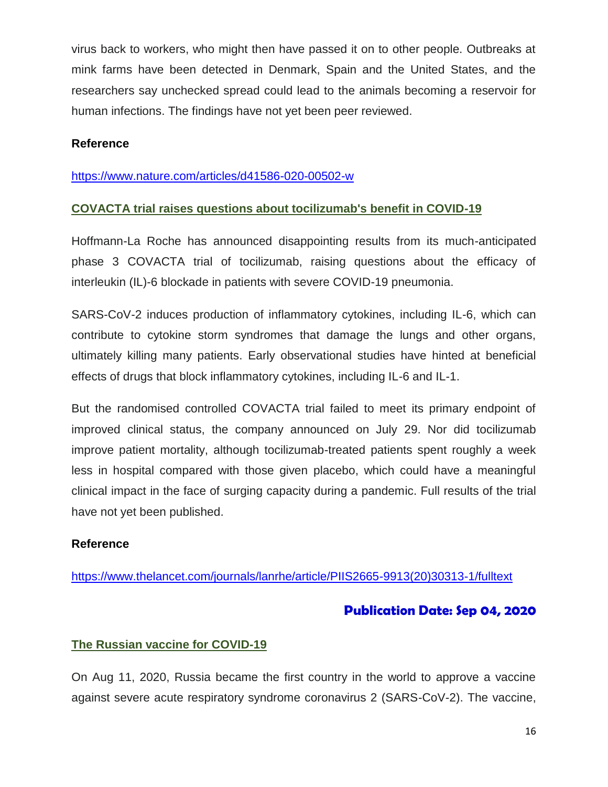virus back to workers, who might then have passed it on to other people. Outbreaks at mink farms have been detected in Denmark, Spain and the United States, and the researchers say unchecked spread could lead to the animals becoming a reservoir for human infections. The findings have not yet been peer reviewed.

# **Reference**

### <https://www.nature.com/articles/d41586-020-00502-w>

# **COVACTA trial raises questions about tocilizumab's benefit in COVID-19**

Hoffmann-La Roche has announced disappointing results from its much-anticipated phase 3 COVACTA trial of tocilizumab, raising questions about the efficacy of interleukin (IL)-6 blockade in patients with severe COVID-19 pneumonia.

SARS-CoV-2 induces production of inflammatory cytokines, including IL-6, which can contribute to cytokine storm syndromes that damage the lungs and other organs, ultimately killing many patients. Early observational studies have hinted at beneficial effects of drugs that block inflammatory cytokines, including IL-6 and IL-1.

But the randomised controlled COVACTA trial failed to meet its primary endpoint of improved clinical status, the company announced on July 29. Nor did tocilizumab improve patient mortality, although tocilizumab-treated patients spent roughly a week less in hospital compared with those given placebo, which could have a meaningful clinical impact in the face of surging capacity during a pandemic. Full results of the trial have not yet been published.

# **Reference**

[https://www.thelancet.com/journals/lanrhe/article/PIIS2665-9913\(20\)30313-1/fulltext](https://www.thelancet.com/journals/lanrhe/article/PIIS2665-9913(20)30313-1/fulltext)

# **Publication Date: Sep 04, 2020**

# **The Russian vaccine for COVID-19**

On Aug 11, 2020, Russia became the first country in the world to approve a vaccine against severe acute respiratory syndrome coronavirus 2 (SARS-CoV-2). The vaccine,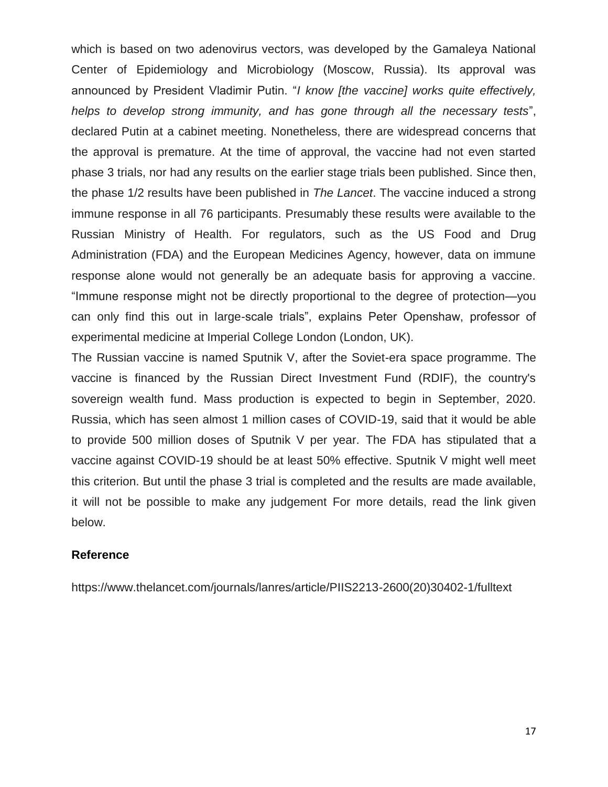which is based on two adenovirus vectors, was developed by the Gamaleya National Center of Epidemiology and Microbiology (Moscow, Russia). Its approval was announced by President Vladimir Putin. "*I know [the vaccine] works quite effectively, helps to develop strong immunity, and has gone through all the necessary tests*", declared Putin at a cabinet meeting. Nonetheless, there are widespread concerns that the approval is premature. At the time of approval, the vaccine had not even started phase 3 trials, nor had any results on the earlier stage trials been published. Since then, the phase 1/2 results have been published in *The Lancet*. The vaccine induced a strong immune response in all 76 participants. Presumably these results were available to the Russian Ministry of Health. For regulators, such as the US Food and Drug Administration (FDA) and the European Medicines Agency, however, data on immune response alone would not generally be an adequate basis for approving a vaccine. "Immune response might not be directly proportional to the degree of protection—you can only find this out in large-scale trials", explains Peter Openshaw, professor of experimental medicine at Imperial College London (London, UK).

The Russian vaccine is named Sputnik V, after the Soviet-era space programme. The vaccine is financed by the Russian Direct Investment Fund (RDIF), the country's sovereign wealth fund. Mass production is expected to begin in September, 2020. Russia, which has seen almost 1 million cases of COVID-19, said that it would be able to provide 500 million doses of Sputnik V per year. The FDA has stipulated that a vaccine against COVID-19 should be at least 50% effective. Sputnik V might well meet this criterion. But until the phase 3 trial is completed and the results are made available, it will not be possible to make any judgement For more details, read the link given below.

#### **Reference**

https://www.thelancet.com/journals/lanres/article/PIIS2213-2600(20)30402-1/fulltext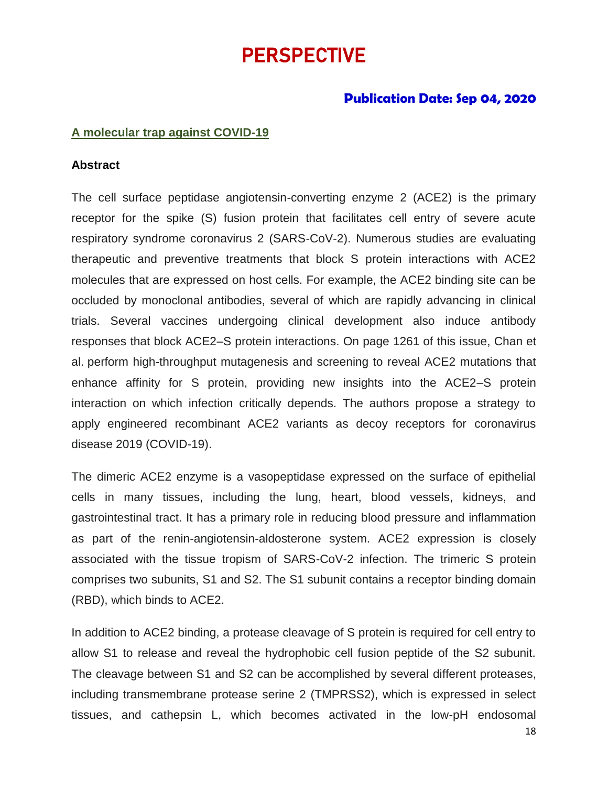# PERSPECTIVE

# **Publication Date: Sep 04, 2020**

#### **A molecular trap against COVID-19**

#### **Abstract**

The cell surface peptidase angiotensin-converting enzyme 2 (ACE2) is the primary receptor for the spike (S) fusion protein that facilitates cell entry of severe acute respiratory syndrome coronavirus 2 (SARS-CoV-2). Numerous studies are evaluating therapeutic and preventive treatments that block S protein interactions with ACE2 molecules that are expressed on host cells. For example, the ACE2 binding site can be occluded by monoclonal antibodies, several of which are rapidly advancing in clinical trials. Several vaccines undergoing clinical development also induce antibody responses that block ACE2–S protein interactions. On page 1261 of this issue, Chan et al. perform high-throughput mutagenesis and screening to reveal ACE2 mutations that enhance affinity for S protein, providing new insights into the ACE2–S protein interaction on which infection critically depends. The authors propose a strategy to apply engineered recombinant ACE2 variants as decoy receptors for coronavirus disease 2019 (COVID-19).

The dimeric ACE2 enzyme is a vasopeptidase expressed on the surface of epithelial cells in many tissues, including the lung, heart, blood vessels, kidneys, and gastrointestinal tract. It has a primary role in reducing blood pressure and inflammation as part of the renin-angiotensin-aldosterone system. ACE2 expression is closely associated with the tissue tropism of SARS-CoV-2 infection. The trimeric S protein comprises two subunits, S1 and S2. The S1 subunit contains a receptor binding domain (RBD), which binds to ACE2.

In addition to ACE2 binding, a protease cleavage of S protein is required for cell entry to allow S1 to release and reveal the hydrophobic cell fusion peptide of the S2 subunit. The cleavage between S1 and S2 can be accomplished by several different proteases, including transmembrane protease serine 2 (TMPRSS2), which is expressed in select tissues, and cathepsin L, which becomes activated in the low-pH endosomal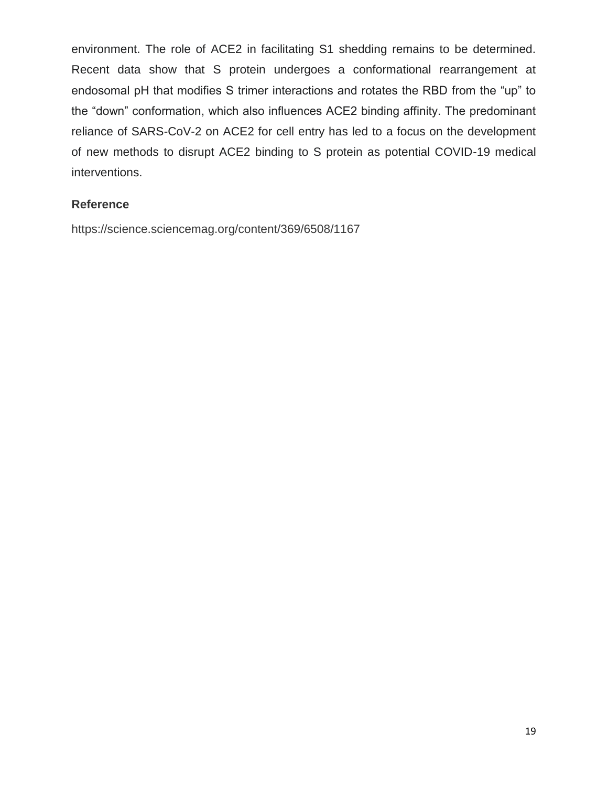environment. The role of ACE2 in facilitating S1 shedding remains to be determined. Recent data show that S protein undergoes a conformational rearrangement at endosomal pH that modifies S trimer interactions and rotates the RBD from the "up" to the "down" conformation, which also influences ACE2 binding affinity. The predominant reliance of SARS-CoV-2 on ACE2 for cell entry has led to a focus on the development of new methods to disrupt ACE2 binding to S protein as potential COVID-19 medical interventions.

# **Reference**

https://science.sciencemag.org/content/369/6508/1167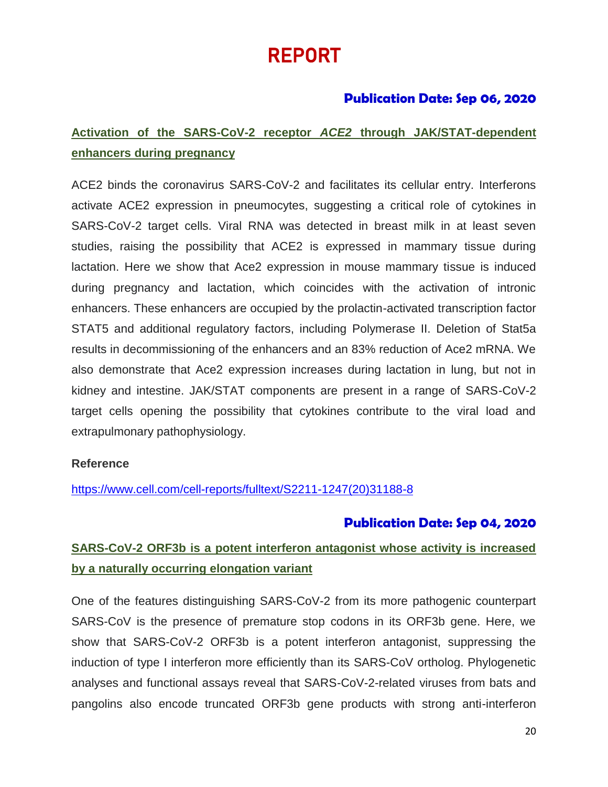# REPORT

# **Publication Date: Sep 06, 2020**

# **Activation of the SARS-CoV-2 receptor** *ACE2* **through JAK/STAT-dependent enhancers during pregnancy**

ACE2 binds the coronavirus SARS-CoV-2 and facilitates its cellular entry. Interferons activate ACE2 expression in pneumocytes, suggesting a critical role of cytokines in SARS-CoV-2 target cells. Viral RNA was detected in breast milk in at least seven studies, raising the possibility that ACE2 is expressed in mammary tissue during lactation. Here we show that Ace2 expression in mouse mammary tissue is induced during pregnancy and lactation, which coincides with the activation of intronic enhancers. These enhancers are occupied by the prolactin-activated transcription factor STAT5 and additional regulatory factors, including Polymerase II. Deletion of Stat5a results in decommissioning of the enhancers and an 83% reduction of Ace2 mRNA. We also demonstrate that Ace2 expression increases during lactation in lung, but not in kidney and intestine. JAK/STAT components are present in a range of SARS-CoV-2 target cells opening the possibility that cytokines contribute to the viral load and extrapulmonary pathophysiology.

# **Reference**

[https://www.cell.com/cell-reports/fulltext/S2211-1247\(20\)31188-8](https://www.cell.com/cell-reports/fulltext/S2211-1247(20)31188-8)

# **Publication Date: Sep 04, 2020**

# **SARS-CoV-2 ORF3b is a potent interferon antagonist whose activity is increased by a naturally occurring elongation variant**

One of the features distinguishing SARS-CoV-2 from its more pathogenic counterpart SARS-CoV is the presence of premature stop codons in its ORF3b gene. Here, we show that SARS-CoV-2 ORF3b is a potent interferon antagonist, suppressing the induction of type I interferon more efficiently than its SARS-CoV ortholog. Phylogenetic analyses and functional assays reveal that SARS-CoV-2-related viruses from bats and pangolins also encode truncated ORF3b gene products with strong anti-interferon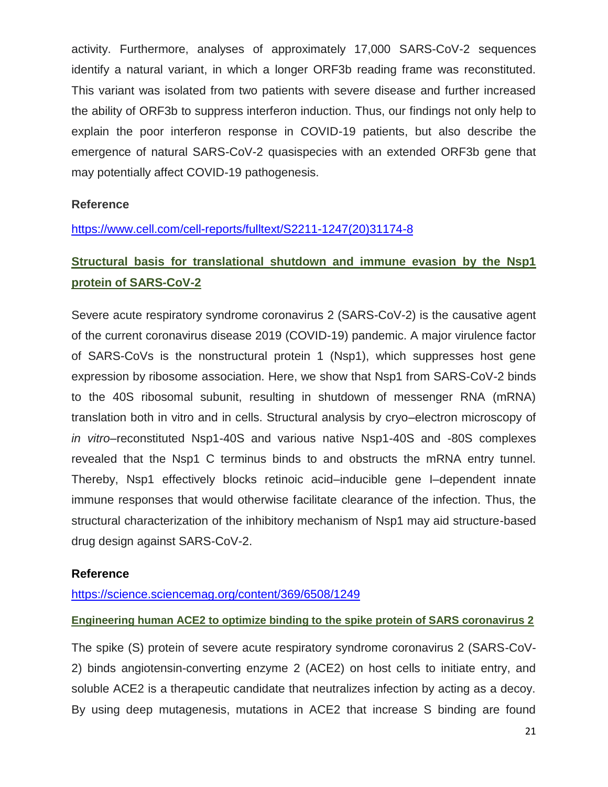activity. Furthermore, analyses of approximately 17,000 SARS-CoV-2 sequences identify a natural variant, in which a longer ORF3b reading frame was reconstituted. This variant was isolated from two patients with severe disease and further increased the ability of ORF3b to suppress interferon induction. Thus, our findings not only help to explain the poor interferon response in COVID-19 patients, but also describe the emergence of natural SARS-CoV-2 quasispecies with an extended ORF3b gene that may potentially affect COVID-19 pathogenesis.

# **Reference**

# [https://www.cell.com/cell-reports/fulltext/S2211-1247\(20\)31174-8](https://www.cell.com/cell-reports/fulltext/S2211-1247(20)31174-8)

# **Structural basis for translational shutdown and immune evasion by the Nsp1 protein of SARS-CoV-2**

Severe acute respiratory syndrome coronavirus 2 (SARS-CoV-2) is the causative agent of the current coronavirus disease 2019 (COVID-19) pandemic. A major virulence factor of SARS-CoVs is the nonstructural protein 1 (Nsp1), which suppresses host gene expression by ribosome association. Here, we show that Nsp1 from SARS-CoV-2 binds to the 40S ribosomal subunit, resulting in shutdown of messenger RNA (mRNA) translation both in vitro and in cells. Structural analysis by cryo–electron microscopy of *in vitro*–reconstituted Nsp1-40S and various native Nsp1-40S and -80S complexes revealed that the Nsp1 C terminus binds to and obstructs the mRNA entry tunnel. Thereby, Nsp1 effectively blocks retinoic acid–inducible gene I–dependent innate immune responses that would otherwise facilitate clearance of the infection. Thus, the structural characterization of the inhibitory mechanism of Nsp1 may aid structure-based drug design against SARS-CoV-2.

# **Reference**

# <https://science.sciencemag.org/content/369/6508/1249>

# **Engineering human ACE2 to optimize binding to the spike protein of SARS coronavirus 2**

The spike (S) protein of severe acute respiratory syndrome coronavirus 2 (SARS-CoV-2) binds angiotensin-converting enzyme 2 (ACE2) on host cells to initiate entry, and soluble ACE2 is a therapeutic candidate that neutralizes infection by acting as a decoy. By using deep mutagenesis, mutations in ACE2 that increase S binding are found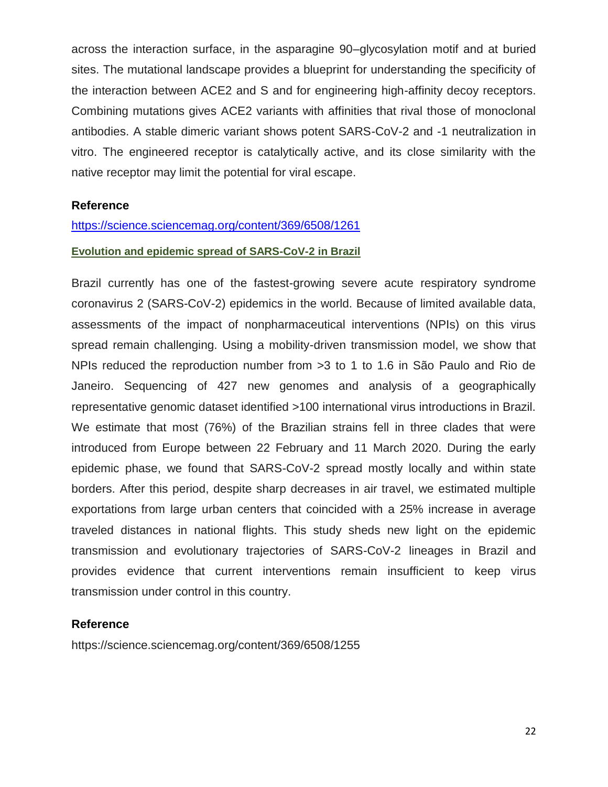across the interaction surface, in the asparagine 90–glycosylation motif and at buried sites. The mutational landscape provides a blueprint for understanding the specificity of the interaction between ACE2 and S and for engineering high-affinity decoy receptors. Combining mutations gives ACE2 variants with affinities that rival those of monoclonal antibodies. A stable dimeric variant shows potent SARS-CoV-2 and -1 neutralization in vitro. The engineered receptor is catalytically active, and its close similarity with the native receptor may limit the potential for viral escape.

# **Reference**

#### <https://science.sciencemag.org/content/369/6508/1261>

#### **Evolution and epidemic spread of SARS-CoV-2 in Brazil**

Brazil currently has one of the fastest-growing severe acute respiratory syndrome coronavirus 2 (SARS-CoV-2) epidemics in the world. Because of limited available data, assessments of the impact of nonpharmaceutical interventions (NPIs) on this virus spread remain challenging. Using a mobility-driven transmission model, we show that NPIs reduced the reproduction number from >3 to 1 to 1.6 in São Paulo and Rio de Janeiro. Sequencing of 427 new genomes and analysis of a geographically representative genomic dataset identified >100 international virus introductions in Brazil. We estimate that most (76%) of the Brazilian strains fell in three clades that were introduced from Europe between 22 February and 11 March 2020. During the early epidemic phase, we found that SARS-CoV-2 spread mostly locally and within state borders. After this period, despite sharp decreases in air travel, we estimated multiple exportations from large urban centers that coincided with a 25% increase in average traveled distances in national flights. This study sheds new light on the epidemic transmission and evolutionary trajectories of SARS-CoV-2 lineages in Brazil and provides evidence that current interventions remain insufficient to keep virus transmission under control in this country.

#### **Reference**

https://science.sciencemag.org/content/369/6508/1255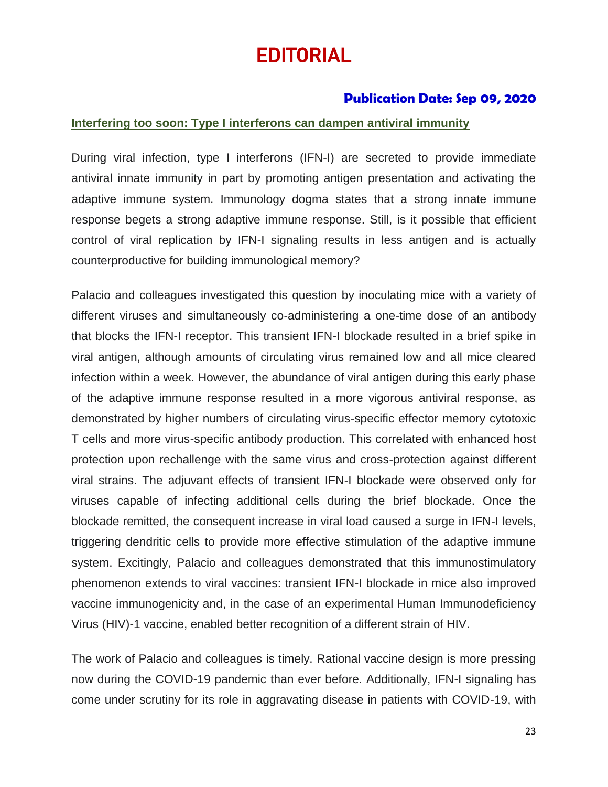# EDITORIAL

# **Publication Date: Sep 09, 2020**

# **Interfering too soon: Type I interferons can dampen antiviral immunity**

During viral infection, type I interferons (IFN-I) are secreted to provide immediate antiviral innate immunity in part by promoting antigen presentation and activating the adaptive immune system. Immunology dogma states that a strong innate immune response begets a strong adaptive immune response. Still, is it possible that efficient control of viral replication by IFN-I signaling results in less antigen and is actually counterproductive for building immunological memory?

Palacio and colleagues investigated this question by inoculating mice with a variety of different viruses and simultaneously co-administering a one-time dose of an antibody that blocks the IFN-I receptor. This transient IFN-I blockade resulted in a brief spike in viral antigen, although amounts of circulating virus remained low and all mice cleared infection within a week. However, the abundance of viral antigen during this early phase of the adaptive immune response resulted in a more vigorous antiviral response, as demonstrated by higher numbers of circulating virus-specific effector memory cytotoxic T cells and more virus-specific antibody production. This correlated with enhanced host protection upon rechallenge with the same virus and cross-protection against different viral strains. The adjuvant effects of transient IFN-I blockade were observed only for viruses capable of infecting additional cells during the brief blockade. Once the blockade remitted, the consequent increase in viral load caused a surge in IFN-I levels, triggering dendritic cells to provide more effective stimulation of the adaptive immune system. Excitingly, Palacio and colleagues demonstrated that this immunostimulatory phenomenon extends to viral vaccines: transient IFN-I blockade in mice also improved vaccine immunogenicity and, in the case of an experimental Human Immunodeficiency Virus (HIV)-1 vaccine, enabled better recognition of a different strain of HIV.

The work of Palacio and colleagues is timely. Rational vaccine design is more pressing now during the COVID-19 pandemic than ever before. Additionally, IFN-I signaling has come under scrutiny for its role in aggravating disease in patients with COVID-19, with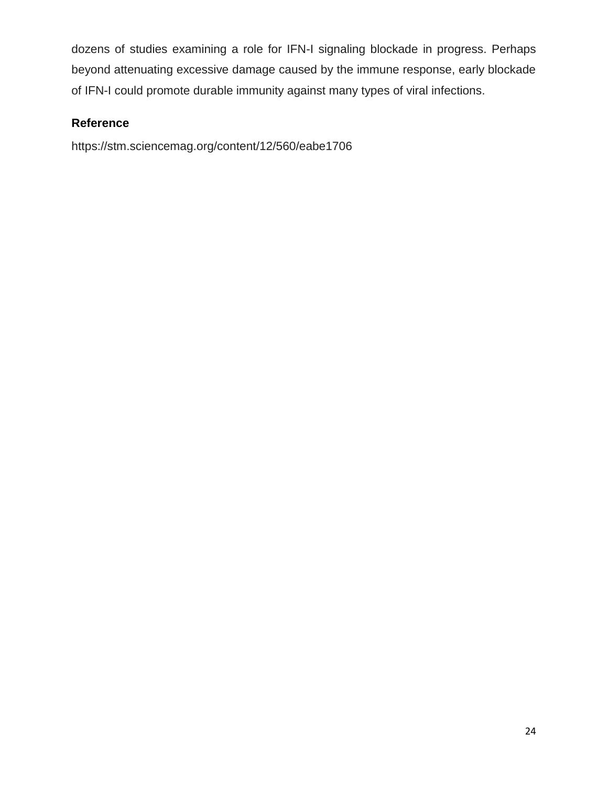dozens of studies examining a role for IFN-I signaling blockade in progress. Perhaps beyond attenuating excessive damage caused by the immune response, early blockade of IFN-I could promote durable immunity against many types of viral infections.

# **Reference**

https://stm.sciencemag.org/content/12/560/eabe1706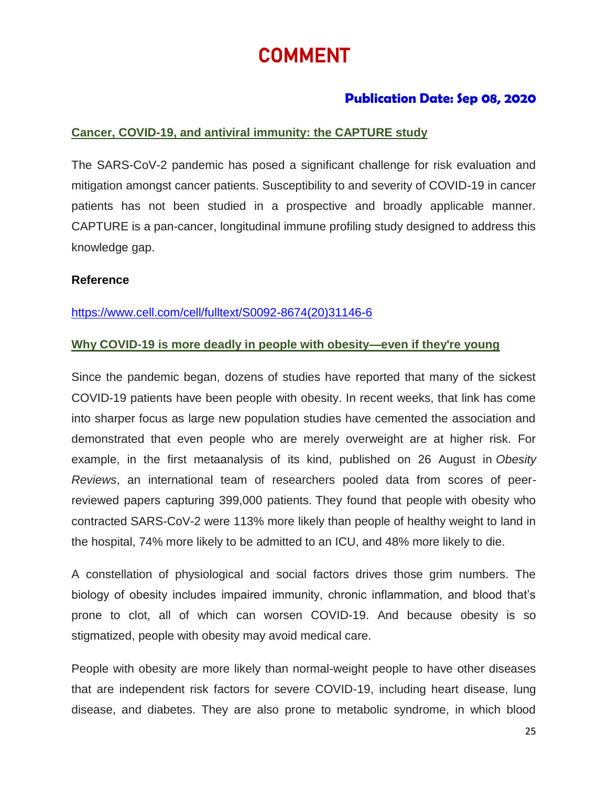# COMMENT

# **Publication Date: Sep 08, 2020**

# **Cancer, COVID-19, and antiviral immunity: the CAPTURE study**

The SARS-CoV-2 pandemic has posed a significant challenge for risk evaluation and mitigation amongst cancer patients. Susceptibility to and severity of COVID-19 in cancer patients has not been studied in a prospective and broadly applicable manner. CAPTURE is a pan-cancer, longitudinal immune profiling study designed to address this knowledge gap.

#### **Reference**

[https://www.cell.com/cell/fulltext/S0092-8674\(20\)31146-6](https://www.cell.com/cell/fulltext/S0092-8674(20)31146-6)

# **Why COVID-19 is more deadly in people with obesity—even if they're young**

Since the pandemic began, dozens of studies have reported that many of the sickest COVID-19 patients have been people with obesity. In recent weeks, that link has come into sharper focus as large new population studies have cemented the association and demonstrated that even people who are merely overweight are at higher risk. For example, in the first metaanalysis of its kind, published on 26 August in *Obesity Reviews*, an international team of researchers pooled data from scores of peerreviewed papers capturing 399,000 patients. [They found that people](https://onlinelibrary.wiley.com/doi/full/10.1111/obr.13128) with obesity who contracted SARS-CoV-2 were 113% more likely than people of healthy weight to land in the hospital, 74% more likely to be admitted to an ICU, and 48% more likely to die.

A constellation of physiological and social factors drives those grim numbers. The biology of obesity includes impaired immunity, chronic inflammation, and blood that's prone to clot, all of which can worsen COVID-19. And because obesity is so stigmatized, people with obesity may avoid medical care.

People with obesity are more likely than normal-weight people to have other diseases that are independent risk factors for severe COVID-19, including heart disease, lung disease, and diabetes. They are also prone to metabolic syndrome, in which blood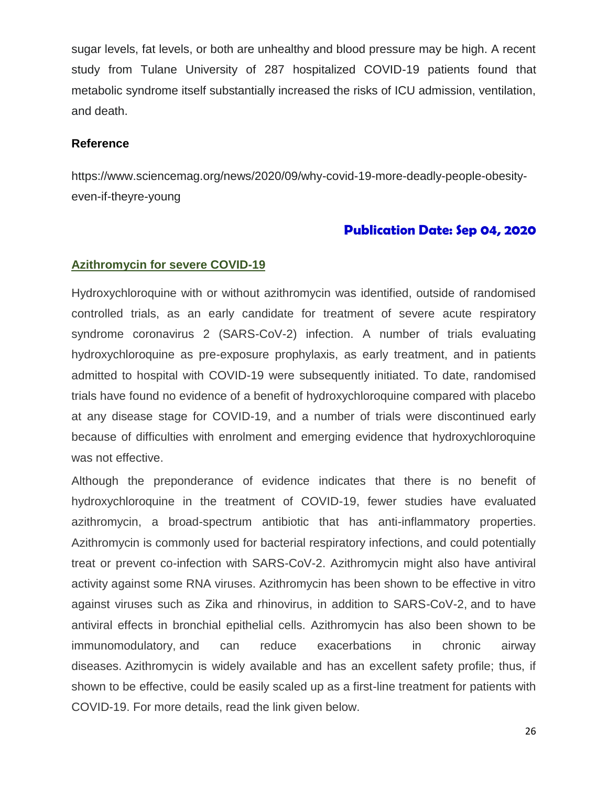sugar levels, fat levels, or both are unhealthy and blood pressure may be high. A recent study from Tulane University of 287 hospitalized COVID-19 patients found that metabolic syndrome itself substantially increased the risks of ICU admission, ventilation, and death.

#### **Reference**

https://www.sciencemag.org/news/2020/09/why-covid-19-more-deadly-people-obesityeven-if-theyre-young

# **Publication Date: Sep 04, 2020**

#### **Azithromycin for severe COVID-19**

Hydroxychloroquine with or without azithromycin was identified, outside of randomised controlled trials, as an early candidate for treatment of severe acute respiratory syndrome coronavirus 2 (SARS-CoV-2) infection. A number of trials evaluating hydroxychloroquine as pre-exposure prophylaxis, as early treatment, and in patients admitted to hospital with COVID-19 were subsequently initiated. To date, randomised trials have found no evidence of a benefit of hydroxychloroquine compared with placebo at any disease stage for COVID-19, and a number of trials were discontinued early because of difficulties with enrolment and emerging evidence that hydroxychloroquine was not effective.

Although the preponderance of evidence indicates that there is no benefit of hydroxychloroquine in the treatment of COVID-19, fewer studies have evaluated azithromycin, a broad-spectrum antibiotic that has anti-inflammatory properties. Azithromycin is commonly used for bacterial respiratory infections, and could potentially treat or prevent co-infection with SARS-CoV-2. Azithromycin might also have antiviral activity against some RNA viruses. Azithromycin has been shown to be effective in vitro against viruses such as Zika and rhinovirus, in addition to SARS-CoV-2, and to have antiviral effects in bronchial epithelial cells. Azithromycin has also been shown to be immunomodulatory, and can reduce exacerbations in chronic airway diseases. Azithromycin is widely available and has an excellent safety profile; thus, if shown to be effective, could be easily scaled up as a first-line treatment for patients with COVID-19. For more details, read the link given below.